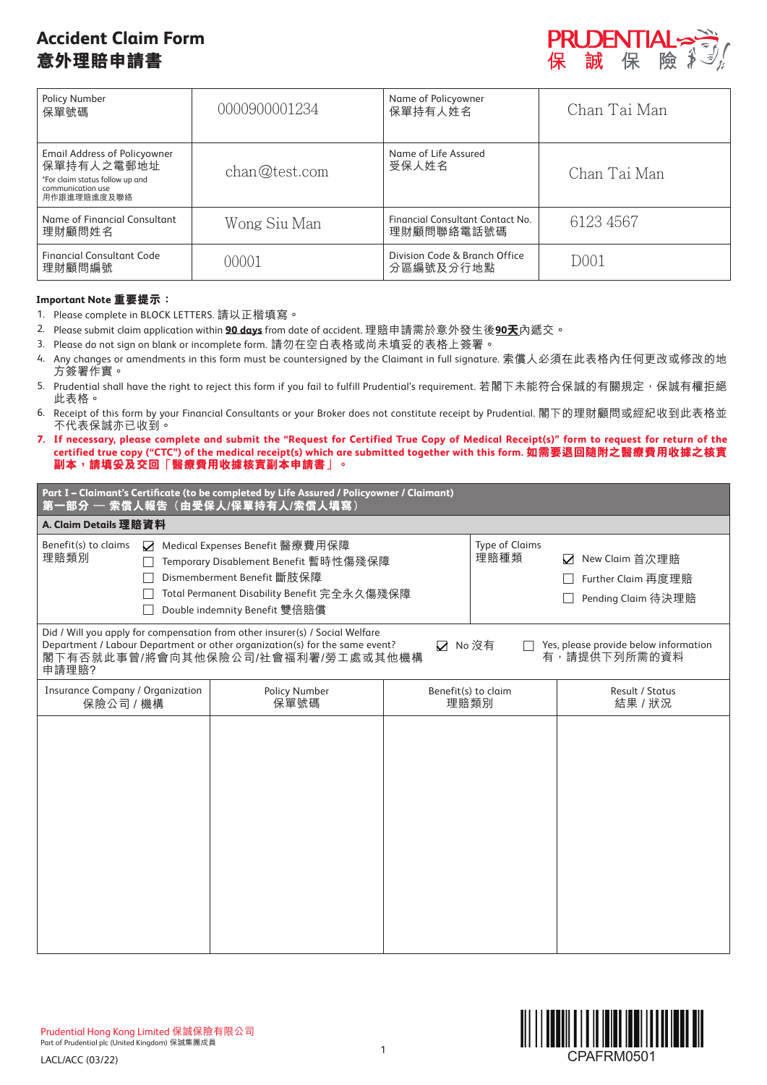# **Accident Claim Form 意外理賠申請書**



| <b>Policy Number</b><br>保單號碼                                                                                             | 0000900001234 | Name of Policyowner<br>保單持有人姓名                 | Chan Tai Man      |
|--------------------------------------------------------------------------------------------------------------------------|---------------|------------------------------------------------|-------------------|
| <b>Email Address of Policyowner</b><br>保單持有人之電郵地址<br>*For claim status follow up and<br>communication use<br>用作跟進理賠進度及聯絡 | chan@test.com | Name of Life Assured<br>受保人姓名                  | Chan Tai Man      |
| Name of Financial Consultant<br>理財顧問姓名                                                                                   | Wong Siu Man  | Financial Consultant Contact No.<br>理財顧問聯絡電話號碼 | 6123 4567         |
| <b>Financial Consultant Code</b><br>理財顧問編號                                                                               | 00001         | Division Code & Branch Office<br>分區編號及分行地點     | D <sub>0</sub> 01 |

# **Important Note 重要提示:**

- 1. Please complete in BLOCK LETTERS. 請以正楷填寫。
- 2. Please submit claim application within **90 days** from date of accident. 理賠申請需於意外發生後**90天**內遞交。
- 3. Please do not sign on blank or incomplete form. 請勿在空白表格或尚未填妥的表格上簽署。
- 4. Any changes or amendments in this form must be countersigned by the Claimant in full signature. 索償人必須在此表格內任何更改或修改的地 方簽署作實。
- 5. Prudential shall have the right to reject this form if you fail to fulfill Prudential's requirement. 若閣下未能符合保誠的有關規定, 保誠有權拒絕 此表格。
- 6. Receipt of this form by your Financial Consultants or your Broker does not constitute receipt by Prudential. 閣下的理財顧問或經紀收到此表格並 不代表保誠亦已收到。
- **7. If necessary, please complete and submit the "Request for Certified True Copy of Medical Receipt(s)" form to request for return of the certified true copy ("CTC") of the medical receipt(s) which are submitted together with this form. 如需要退回隨附之醫療費用收據之核實 副本,請填妥及交回「醫療費用收據核實副本申請書」。**

| 第一部分 — 索償人報告 (由受保人/保單持有人/索償人填寫)                                                                                                                                                                                                                                                                                                                                                                                 | Part I - Claimant's Certificate (to be completed by Life Assured / Policyowner / Claimant)                       |                             |  |                                                       |
|-----------------------------------------------------------------------------------------------------------------------------------------------------------------------------------------------------------------------------------------------------------------------------------------------------------------------------------------------------------------------------------------------------------------|------------------------------------------------------------------------------------------------------------------|-----------------------------|--|-------------------------------------------------------|
| A. Claim Details 理賠資料                                                                                                                                                                                                                                                                                                                                                                                           |                                                                                                                  |                             |  |                                                       |
| Benefit(s) to claims<br>Medical Expenses Benefit 醫療費用保障<br><b>Type of Claims</b><br>☑<br>理賠類別<br>理賠種類<br>New Claim 首次理賠<br>☑<br>Temporary Disablement Benefit 暫時性傷殘保障<br>Dismemberment Benefit 斷肢保障<br>Further Claim 再度理賠<br>Total Permanent Disability Benefit 完全永久傷殘保障<br>Pending Claim 待決理賠<br>Double indemnity Benefit 雙倍賠償<br>Did / Will you apply for compensation from other insurer(s) / Social Welfare |                                                                                                                  |                             |  |                                                       |
| 申請理賠?                                                                                                                                                                                                                                                                                                                                                                                                           | Department / Labour Department or other organization(s) for the same event?<br>閣下有否就此事曾/將會向其他保險公司/社會福利署/勞工處或其他機構 | ☑ No 沒有                     |  | Yes, please provide below information<br>有,請提供下列所需的資料 |
| <b>Insurance Company / Organization</b><br>保險公司 / 機構                                                                                                                                                                                                                                                                                                                                                            | Policy Number<br>保單號碼                                                                                            | Benefit(s) to claim<br>理賠類別 |  | <b>Result / Status</b><br>結果 / 狀況                     |
|                                                                                                                                                                                                                                                                                                                                                                                                                 |                                                                                                                  |                             |  |                                                       |

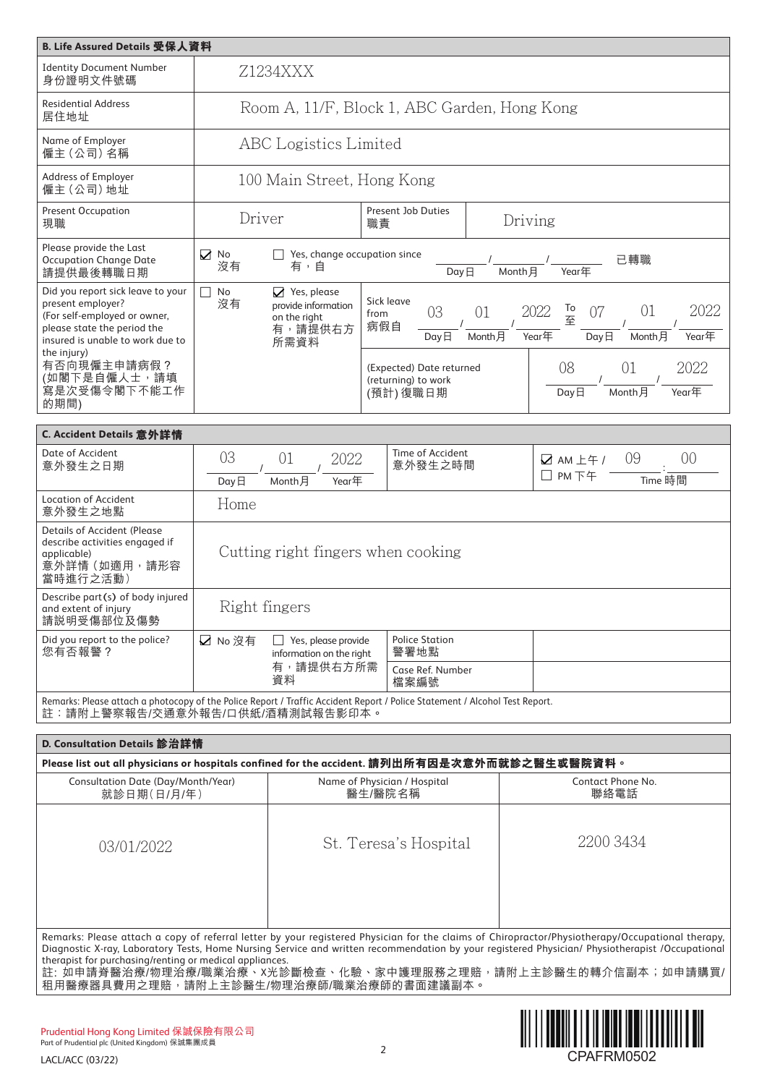| B. Life Assured Details 受保人資料                                                                                                                                  |                  |                                                                                  |                                                             |               |                                                                                            |
|----------------------------------------------------------------------------------------------------------------------------------------------------------------|------------------|----------------------------------------------------------------------------------|-------------------------------------------------------------|---------------|--------------------------------------------------------------------------------------------|
| <b>Identity Document Number</b><br>身份證明文件號碼                                                                                                                    |                  | Z1234XXX                                                                         |                                                             |               |                                                                                            |
| <b>Residential Address</b><br>居住地址                                                                                                                             |                  |                                                                                  | Room A, 11/F, Block 1, ABC Garden, Hong Kong                |               |                                                                                            |
| Name of Employer<br>僱主 (公司) 名稱                                                                                                                                 |                  | <b>ABC</b> Logistics Limited                                                     |                                                             |               |                                                                                            |
| Address of Employer<br>僱主 (公司) 地址                                                                                                                              |                  | 100 Main Street, Hong Kong                                                       |                                                             |               |                                                                                            |
| <b>Present Occupation</b><br>現職                                                                                                                                | Driver           |                                                                                  | Present Job Duties<br>職責                                    | Driving       |                                                                                            |
| Please provide the Last<br><b>Occupation Change Date</b><br>請提供最後轉職日期                                                                                          | $\sum$ No<br>沒有  | $\Box$ Yes, change occupation since<br>有,自                                       | DayE                                                        | Month 月       | 已轉職<br>Year年                                                                               |
| Did you report sick leave to your<br>present employer?<br>(For self-employed or owner,<br>please state the period the<br>insured is unable to work due to      | П<br>No<br>沒有    | $\sqrt{ }$ Yes, please<br>provide information<br>on the right<br>有,請提供右方<br>所需資料 | Sick leave<br>03<br>from<br>病假自<br>$Day \Box$               | 01<br>Month 月 | To<br>2022<br>2022<br>01<br>07<br>至<br>$Year \nsubseteq$<br>Year年<br>$Day \Box$<br>Month 月 |
| the injury)<br>有否向現僱主申請病假?<br>(如閣下是自僱人士,請填<br>寫是次受傷令閣下不能工作<br>的期間)                                                                                             |                  |                                                                                  | (Expected) Date returned<br>(returning) to work<br>(預計)復職日期 |               | 08<br>01<br>2022<br>Year年<br>Month月<br>DayE                                                |
| C. Accident Details 意外詳情                                                                                                                                       |                  |                                                                                  |                                                             |               |                                                                                            |
| Date of Accident<br>意外發生之日期                                                                                                                                    | 03<br>$Day \Box$ | 2022<br>01<br>Month月<br>Year年                                                    | Time of Accident<br>意外發生之時間                                 |               | 09<br>00<br>$\sqrt{2}$ AM $\pm$ $\mp$ /<br>$\Box$ PM $\top \mp$<br>Time 時間                 |
| <b>Location of Accident</b><br>意外發生之地點                                                                                                                         | Home             |                                                                                  |                                                             |               |                                                                                            |
| <b>Details of Accident (Please</b><br>describe activities engaged if<br>applicable)<br>意外詳情 (如適用,請形容<br>當時進行之活動)                                               |                  | Cutting right fingers when cooking                                               |                                                             |               |                                                                                            |
| Describe part(s) of body injured<br>and extent of injury<br>請説明受傷部位及傷勢                                                                                         |                  | Right fingers                                                                    |                                                             |               |                                                                                            |
| Did you report to the police?<br>您有否報警?                                                                                                                        | ☑ No 沒有          | $\Box$ Yes, please provide<br>information on the right                           | <b>Police Station</b><br>警署地點                               |               |                                                                                            |
|                                                                                                                                                                |                  | 有,請提供右方所需<br>資料                                                                  | Case Ref. Number<br>檔案編號                                    |               |                                                                                            |
| Remarks: Please attach a photocopy of the Police Report / Traffic Accident Report / Police Statement / Alcohol Test Report.<br>註:請附上警察報告/交通意外報告/口供紙/酒精測試報告影印本。 |                  |                                                                                  |                                                             |               |                                                                                            |

| D. Consultation Details 診治詳情                            |                                                                                                                                                                                                                                                                                                                                                                     |                                  |
|---------------------------------------------------------|---------------------------------------------------------------------------------------------------------------------------------------------------------------------------------------------------------------------------------------------------------------------------------------------------------------------------------------------------------------------|----------------------------------|
|                                                         | Please list out all physicians or hospitals confined for the accident. 請列出所有因是次意外而就診之醫生或醫院資料。                                                                                                                                                                                                                                                                       |                                  |
| Consultation Date (Day/Month/Year)<br>就診日期(日/月/年)       | Name of Physician / Hospital<br>醫生/醫院名稱                                                                                                                                                                                                                                                                                                                             | <b>Contact Phone No.</b><br>聯絡電話 |
| 03/01/2022                                              | St. Teresa's Hospital                                                                                                                                                                                                                                                                                                                                               | 2200 3434                        |
| therapist for purchasing/renting or medical appliances. | Remarks: Please attach a copy of referral letter by your registered Physician for the claims of Chiropractor/Physiotherapy/Occupational therapy,<br>Diagnostic X-ray, Laboratory Tests, Home Nursing Service and written recommendation by your registered Physician/ Physiotherapist /Occupational<br>註·加由請巻瑿治療/物理治療/職業治療、X米診斷檢杏、化驗、安由護理服務之理腔,請附上主診瑿生的蘸介信副木:加由請購買/ |                                  |

註: 如申請脊醫治療/物理治療/職業治療、X光診斷檢查、化驗、家中護理服務之理賠,請附上主診醫生的轉介信副本;如申請購買/ 租用醫療器具費用之理賠,請附上主診醫生/物理治療師/職業治療師的書面建議副本。

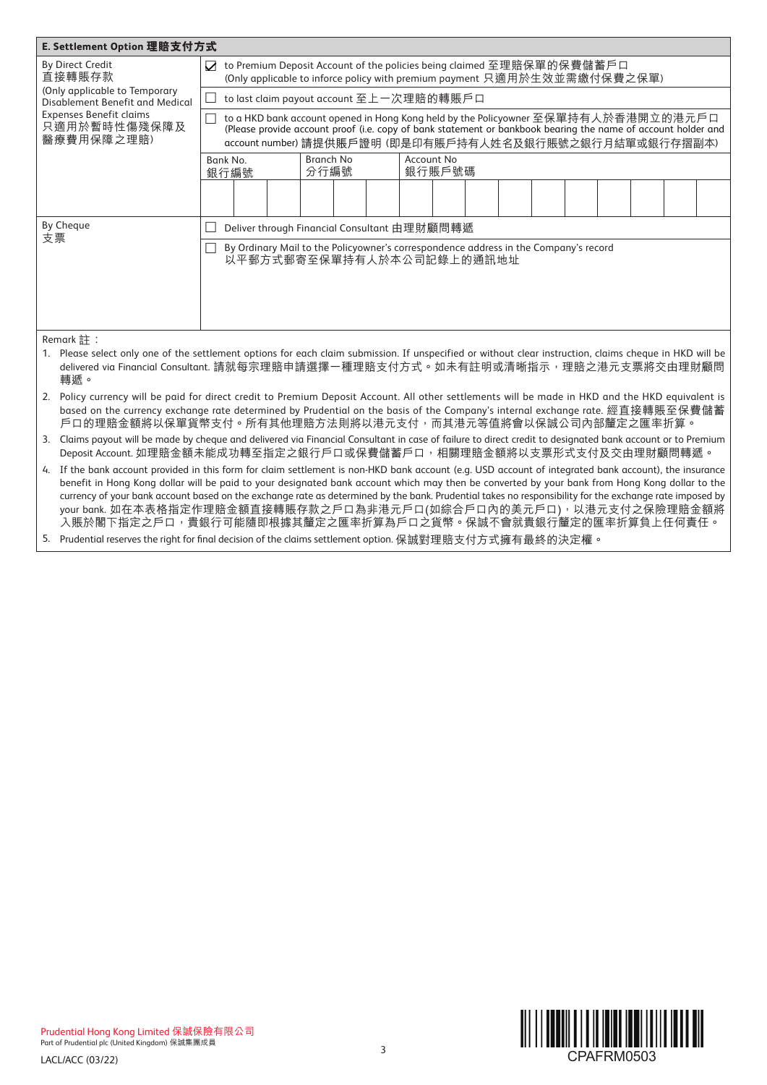| E. Settlement Option 理賠支付方式                                      |                                                                                                                                                                                                                                                                                                                                                                                                                                                                                                                                                                                                       |
|------------------------------------------------------------------|-------------------------------------------------------------------------------------------------------------------------------------------------------------------------------------------------------------------------------------------------------------------------------------------------------------------------------------------------------------------------------------------------------------------------------------------------------------------------------------------------------------------------------------------------------------------------------------------------------|
| <b>By Direct Credit</b><br>直接轉賬存款                                | to Premium Deposit Account of the policies being claimed 至理賠保單的保費儲蓄戶口<br>☑<br>(Only applicable to inforce policy with premium payment 只適用於生效並需繳付保費之保單)                                                                                                                                                                                                                                                                                                                                                                                                                                                |
| (Only applicable to Temporary<br>Disablement Benefit and Medical | to last claim payout account 至上一次理賠的轉賬戶口                                                                                                                                                                                                                                                                                                                                                                                                                                                                                                                                                              |
| <b>Expenses Benefit claims</b><br>只適用於暫時性傷殘保障及<br>醫療費用保障之理賠)     | to a HKD bank account opened in Hong Kong held by the Policyowner 至保單持有人於香港開立的港元戶口<br>(Please provide account proof (i.e. copy of bank statement or bankbook bearing the name of account holder and<br>account number) 請提供賬戶證明 (即是印有賬戶持有人姓名及銀行賬號之銀行月結單或銀行存摺副本)                                                                                                                                                                                                                                                                                                                                        |
|                                                                  | <b>Branch No</b><br>Account No<br>Bank No.<br>分行編號<br>銀行賬戶號碼<br>銀行編號                                                                                                                                                                                                                                                                                                                                                                                                                                                                                                                                  |
|                                                                  |                                                                                                                                                                                                                                                                                                                                                                                                                                                                                                                                                                                                       |
| <b>By Cheque</b><br>支票                                           | Deliver through Financial Consultant 由理財顧問轉遞                                                                                                                                                                                                                                                                                                                                                                                                                                                                                                                                                          |
|                                                                  | By Ordinary Mail to the Policyowner's correspondence address in the Company's record<br>以平郵方式郵寄至保單持有人於本公司記錄上的通訊地址                                                                                                                                                                                                                                                                                                                                                                                                                                                                                     |
| Remark 註:<br>轉遞。                                                 | 1. Please select only one of the settlement options for each claim submission. If unspecified or without clear instruction, claims cheque in HKD will be<br>delivered via Financial Consultant. 請就每宗理賠申請選擇一種理賠支付方式。如未有註明或清晰指示,理賠之港元支票將交由理財顧問                                                                                                                                                                                                                                                                                                                                                          |
|                                                                  | 2. Policy currency will be paid for direct credit to Premium Deposit Account. All other settlements will be made in HKD and the HKD equivalent is<br>based on the currency exchange rate determined by Prudential on the basis of the Company's internal exchange rate. 經直接轉賬至保費儲蓄<br>戶口的理賠金額將以保單貨幣支付。所有其他理賠方法則將以港元支付,而其港元等值將會以保誠公司內部釐定之匯率折算。                                                                                                                                                                                                                                                         |
|                                                                  | 3. Claims payout will be made by cheque and delivered via Financial Consultant in case of failure to direct credit to designated bank account or to Premium<br>Deposit Account. 如理賠金額未能成功轉至指定之銀行戶口或保費儲蓄戶口, 相關理賠金額將以支票形式支付及交由理財顧問轉遞。                                                                                                                                                                                                                                                                                                                                                                   |
|                                                                  | 4. If the bank account provided in this form for claim settlement is non-HKD bank account (e.g. USD account of integrated bank account), the insurance<br>benefit in Hong Kong dollar will be paid to your designated bank account which may then be converted by your bank from Hong Kong dollar to the<br>currency of your bank account based on the exchange rate as determined by the bank. Prudential takes no responsibility for the exchange rate imposed by<br>your bank. 如在本表格指定作理賠金額直接轉賬存款之戶口為非港元戶口(如綜合戶口內的美元戶口),以港元支付之保險理賠金額將<br>入賬於閣下指定之戶口,貴銀行可能隨即根據其釐定之匯率折算為戶口之貨幣。保誠不會就貴銀行釐定的匯率折算負上任何責任。 |

5. Prudential reserves the right for final decision of the claims settlement option. 保誠對理賠支付方式擁有最終的決定權。

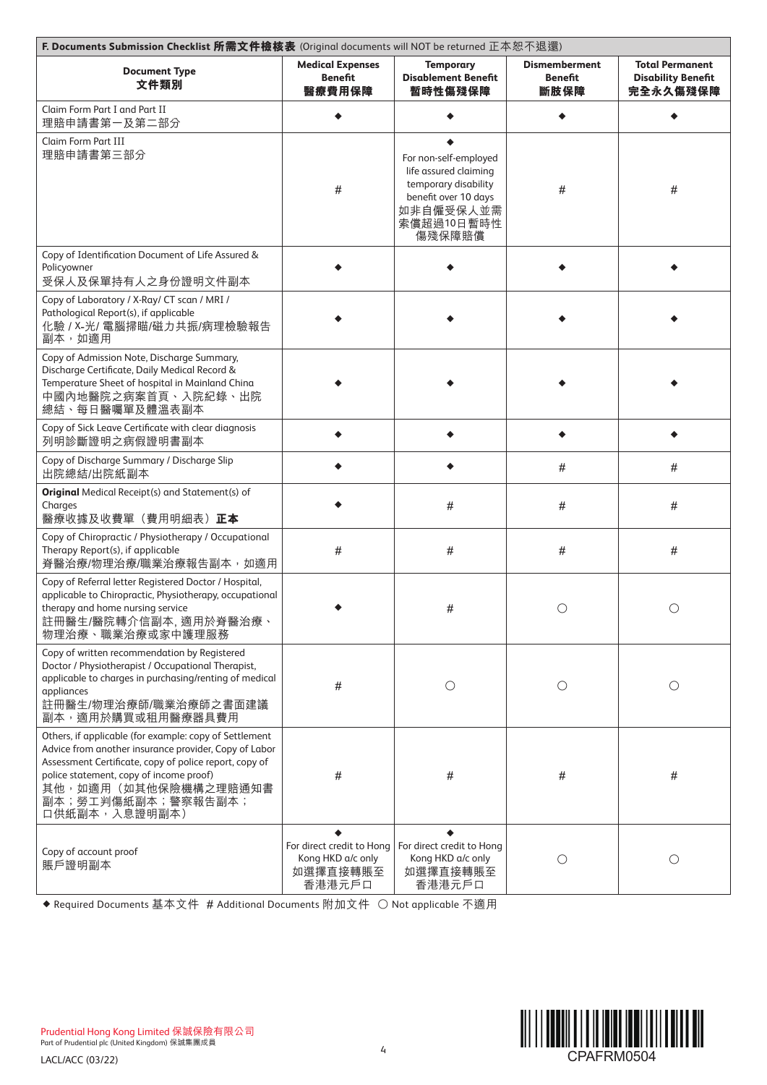| F. Documents Submission Checklist 所需文件檢核表 (Original documents will NOT be returned 正本恕不退還)                                                                                                                                                                                          |                                                                      |                                                                                                                                     |                                                |                                                                 |
|-------------------------------------------------------------------------------------------------------------------------------------------------------------------------------------------------------------------------------------------------------------------------------------|----------------------------------------------------------------------|-------------------------------------------------------------------------------------------------------------------------------------|------------------------------------------------|-----------------------------------------------------------------|
| <b>Document Type</b><br>文件類別                                                                                                                                                                                                                                                        | <b>Medical Expenses</b><br><b>Benefit</b><br>醫療費用保障                  | <b>Temporary</b><br><b>Disablement Benefit</b><br>暫時性傷殘保障                                                                           | <b>Dismemberment</b><br><b>Benefit</b><br>斷肢保障 | <b>Total Permanent</b><br><b>Disability Benefit</b><br>完全永久傷殘保障 |
| Claim Form Part I and Part II<br>理賠申請書第一及第二部分                                                                                                                                                                                                                                       |                                                                      |                                                                                                                                     |                                                |                                                                 |
| Claim Form Part III<br>理賠申請書第三部分                                                                                                                                                                                                                                                    | #                                                                    | For non-self-employed<br>life assured claiming<br>temporary disability<br>benefit over 10 days<br>如非自僱受保人並需<br>索償超過10日暫時性<br>傷殘保障賠償 | #                                              | #                                                               |
| Copy of Identification Document of Life Assured &<br>Policyowner<br>受保人及保單持有人之身份證明文件副本                                                                                                                                                                                              |                                                                      |                                                                                                                                     |                                                |                                                                 |
| Copy of Laboratory / X-Ray/ CT scan / MRI /<br>Pathological Report(s), if applicable<br>化驗 / X-光/ 電腦掃瞄/磁力共振/病理檢驗報告<br>副本,如適用                                                                                                                                                        |                                                                      |                                                                                                                                     |                                                |                                                                 |
| Copy of Admission Note, Discharge Summary,<br>Discharge Certificate, Daily Medical Record &<br>Temperature Sheet of hospital in Mainland China<br>中國內地醫院之病案首頁、入院紀錄、出院<br>總結、每日醫囑單及體溫表副本                                                                                             |                                                                      |                                                                                                                                     |                                                |                                                                 |
| Copy of Sick Leave Certificate with clear diagnosis<br>列明診斷證明之病假證明書副本                                                                                                                                                                                                               |                                                                      |                                                                                                                                     |                                                |                                                                 |
| Copy of Discharge Summary / Discharge Slip<br>出院總結/出院紙副本                                                                                                                                                                                                                            |                                                                      |                                                                                                                                     | $\#$                                           | #                                                               |
| <b>Original</b> Medical Receipt(s) and Statement(s) of<br>Charges<br>醫療收據及收費單(費用明細表)正本                                                                                                                                                                                              |                                                                      | #                                                                                                                                   | #                                              | #                                                               |
| Copy of Chiropractic / Physiotherapy / Occupational<br>Therapy Report(s), if applicable<br>脊醫治療/物理治療/職業治療報告副本,如適用                                                                                                                                                                   | #                                                                    | $\#$                                                                                                                                | #                                              | #                                                               |
| Copy of Referral letter Registered Doctor / Hospital,<br>applicable to Chiropractic, Physiotherapy, occupational<br>therapy and home nursing service<br>註冊醫生/醫院轉介信副本, 適用於脊醫治療、<br>物理治療、職業治療或家中護理服務                                                                                  |                                                                      | #                                                                                                                                   | $\bigcirc$                                     | $\bigcirc$                                                      |
| Copy of written recommendation by Registered<br>Doctor / Physiotherapist / Occupational Therapist,<br>applicable to charges in purchasing/renting of medical<br>appliances<br>註冊醫生/物理治療師/職業治療師之書面建議<br>副本,適用於購買或租用醫療器具費用                                                            | #                                                                    | $\bigcirc$                                                                                                                          | $\bigcirc$                                     | $\bigcirc$                                                      |
| Others, if applicable (for example: copy of Settlement<br>Advice from another insurance provider, Copy of Labor<br>Assessment Certificate, copy of police report, copy of<br>police statement, copy of income proof)<br>其他,如適用(如其他保險機構之理賠通知書<br>副本;勞工判傷紙副本;警察報告副本;<br>口供紙副本,入息證明副本) | #                                                                    | #                                                                                                                                   | #                                              | #                                                               |
| Copy of account proof<br>賬戶證明副本                                                                                                                                                                                                                                                     | For direct credit to Hong<br>Kong HKD a/c only<br>如選擇直接轉賬至<br>香港港元戶口 | For direct credit to Hong<br>Kong HKD a/c only<br>如選擇直接轉賬至<br>香港港元戶口                                                                | $\bigcirc$                                     | Ω                                                               |

Required Documents 基本文件 # Additional Documents 附加文件 ○ Not applicable 不適用

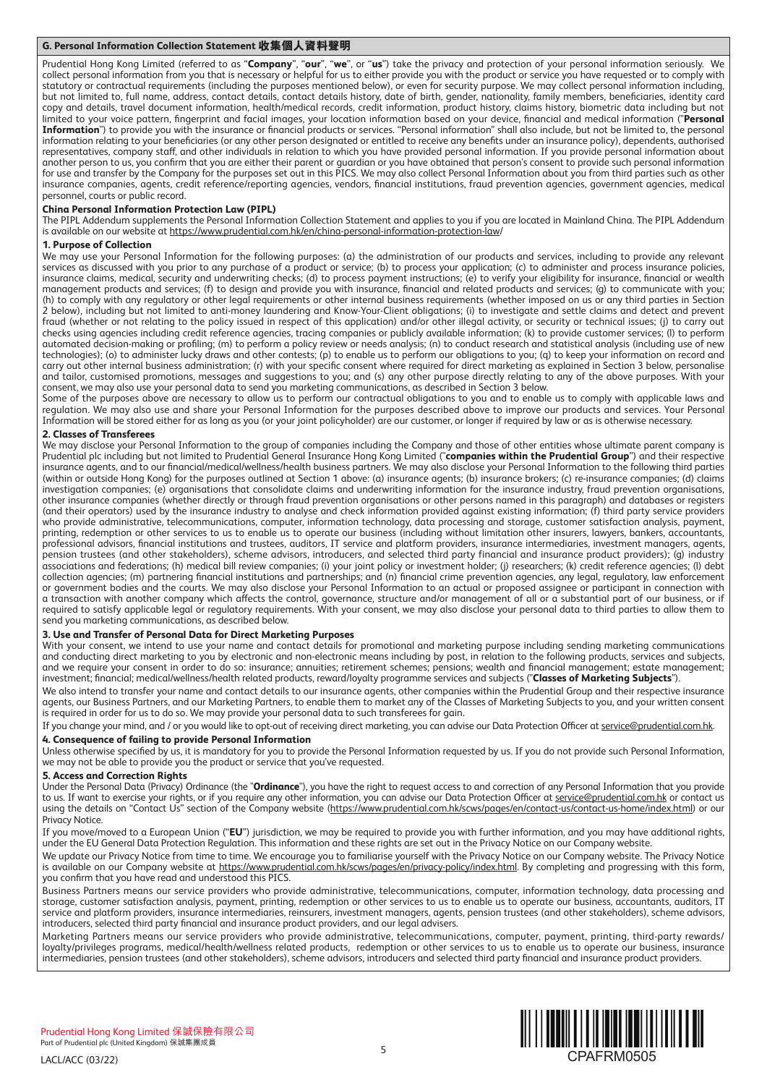# **G. Personal Information Collection Statement 收集個人資料聲明**

Prudential Hong Kong Limited (referred to as "**Company**", "**our**", "**we**", or "**us**") take the privacy and protection of your personal information seriously. We collect personal information from you that is necessary or helpful for us to either provide you with the product or service you have requested or to comply with statutory or contractual requirements (including the purposes mentioned below), or even for security purpose. We may collect personal information including, but not limited to, full name, address, contact details, contact details history, date of birth, gender, nationality, family members, beneficiaries, identity card copy and details, travel document information, health/medical records, credit information, product history, claims history, biometric data including but not limited to your voice pattern, fingerprint and facial images, your location information based on your device, financial and medical information ("**Personal Information**") to provide you with the insurance or financial products or services. "Personal information" shall also include, but not be limited to, the personal information relating to your beneficiaries (or any other person designated or entitled to receive any benefits under an insurance policy), dependents, authorised representatives, company staff, and other individuals in relation to which you have provided personal information. If you provide personal information about another person to us, you confirm that you are either their parent or guardian or you have obtained that person's consent to provide such personal information for use and transfer by the Company for the purposes set out in this PICS. We may also collect Personal Information about you from third parties such as other insurance companies, agents, credit reference/reporting agencies, vendors, financial institutions, fraud prevention agencies, government agencies, medical personnel, courts or public record.

# **China Personal Information Protection Law (PIPL)**

The PIPL Addendum supplements the Personal Information Collection Statement and applies to you if you are located in Mainland China. The PIPL Addendum is available on our website at https://www.prudential.com.hk/en/china-personal-information-protection-law/

# **1. Purpose of Collection**

We may use your Personal Information for the following purposes: (a) the administration of our products and services, including to provide any relevant services as discussed with you prior to any purchase of a product or service; (b) to process your application; (c) to administer and process insurance policies, insurance claims, medical, security and underwriting checks; (d) to process payment instructions; (e) to verify your eligibility for insurance, financial or wealth management products and services; (f) to design and provide you with insurance, financial and related products and services; (g) to communicate with you; (h) to comply with any regulatory or other legal requirements or other internal business requirements (whether imposed on us or any third parties in Section 2 below), including but not limited to anti-money laundering and Know-Your-Client obligations; (i) to investigate and settle claims and detect and prevent fraud (whether or not relating to the policy issued in respect of this application) and/or other illegal activity, or security or technical issues; (j) to carry out checks using agencies including credit reference agencies, tracing companies or publicly available information; (k) to provide customer services; (l) to perform automated decision-making or profiling; (m) to perform a policy review or needs analysis; (n) to conduct research and statistical analysis (including use of new technologies); (o) to administer lucky draws and other contests; (p) to enable us to perform our obligations to you; (q) to keep your information on record and carry out other internal business administration; (r) with your specific consent where required for direct marketing as explained in Section 3 below, personalise and tailor, customised promotions, messages and suggestions to you; and (s) any other purpose directly relating to any of the above purposes. With your consent, we may also use your personal data to send you marketing communications, as described in Section 3 below.

Some of the purposes above are necessary to allow us to perform our contractual obligations to you and to enable us to comply with applicable laws and regulation. We may also use and share your Personal Information for the purposes described above to improve our products and services. Your Personal Information will be stored either for as long as you (or your joint policyholder) are our customer, or longer if required by law or as is otherwise necessary.

# **2. Classes of Transferees**

We may disclose your Personal Information to the group of companies including the Company and those of other entities whose ultimate parent company is Prudential plc including but not limited to Prudential General Insurance Hong Kong Limited ("**companies within the Prudential Group**") and their respective insurance agents, and to our financial/medical/wellness/health business partners. We may also disclose your Personal Information to the following third parties (within or outside Hong Kong) for the purposes outlined at Section 1 above: (a) insurance agents; (b) insurance brokers; (c) re-insurance companies; (d) claims investigation companies; (e) organisations that consolidate claims and underwriting information for the insurance industry, fraud prevention organisations, other insurance companies (whether directly or through fraud prevention organisations or other persons named in this paragraph) and databases or registers (and their operators) used by the insurance industry to analyse and check information provided against existing information; (f) third party service providers who provide administrative, telecommunications, computer, information technology, data processing and storage, customer satisfaction analysis, payment, printing, redemption or other services to us to enable us to operate our business (including without limitation other insurers, lawyers, bankers, accountants, professional advisors, financial institutions and trustees, auditors, IT service and platform providers, insurance intermediaries, investment managers, agents, pension trustees (and other stakeholders), scheme advisors, introducers, and selected third party financial and insurance product providers); (g) industry associations and federations; (h) medical bill review companies; (i) your joint policy or investment holder; (j) researchers; (k) credit reference agencies; (l) debt collection agencies; (m) partnering financial institutions and partnerships; and (n) financial crime prevention agencies, any legal, regulatory, law enforcement or government bodies and the courts. We may also disclose your Personal Information to an actual or proposed assignee or participant in connection with a transaction with another company which affects the control, governance, structure and/or management of all or a substantial part of our business, or if required to satisfy applicable legal or regulatory requirements. With your consent, we may also disclose your personal data to third parties to allow them to send you marketing communications, as described below.

#### **3. Use and Transfer of Personal Data for Direct Marketing Purposes**

With your consent, we intend to use your name and contact details for promotional and marketing purpose including sending marketing communications and conducting direct marketing to you by electronic and non-electronic means including by post, in relation to the following products, services and subjects, and we require your consent in order to do so: insurance; annuities; retirement schemes; pensions; wealth and financial management; estate management; investment; financial; medical/wellness/health related products, reward/loyalty programme services and subjects ("**Classes of Marketing Subjects**").

We also intend to transfer your name and contact details to our insurance agents, other companies within the Prudential Group and their respective insurance agents, our Business Partners, and our Marketing Partners, to enable them to market any of the Classes of Marketing Subjects to you, and your written consent is required in order for us to do so. We may provide your personal data to such transferees for gain.

If you change your mind, and / or you would like to opt-out of receiving direct marketing, you can advise our Data Protection Officer at service@prudential.com.hk. **4. Consequence of failing to provide Personal Information**

Unless otherwise specified by us, it is mandatory for you to provide the Personal Information requested by us. If you do not provide such Personal Information, we may not be able to provide you the product or service that you've requested.

#### **5. Access and Correction Rights**

Under the Personal Data (Privacy) Ordinance (the "**Ordinance**"), you have the right to request access to and correction of any Personal Information that you provide to us. If want to exercise your rights, or if you require any other information, you can advise our Data Protection Officer at service@prudential.com.hk or contact us using the details on "Contact Us" section of the Company website (https://www.prudential.com.hk/scws/pages/en/contact-us/contact-us-home/index.html) or our Privacy Notice.

If you move/moved to a European Union ("**EU**") jurisdiction, we may be required to provide you with further information, and you may have additional rights, under the EU General Data Protection Regulation. This information and these rights are set out in the Privacy Notice on our Company website.

We update our Privacy Notice from time to time. We encourage you to familiarise yourself with the Privacy Notice on our Company website. The Privacy Notice is available on our Company website at https://www.prudential.com.hk/scws/pages/en/privacy-policy/index.html. By completing and progressing with this form, you confirm that you have read and understood this PICS.

Business Partners means our service providers who provide administrative, telecommunications, computer, information technology, data processing and storage, customer satisfaction analysis, payment, printing, redemption or other services to us to enable us to operate our business, accountants, auditors, IT service and platform providers, insurance intermediaries, reinsurers, investment managers, agents, pension trustees (and other stakeholders), scheme advisors, introducers, selected third party financial and insurance product providers, and our legal advisers.

Marketing Partners means our service providers who provide administrative, telecommunications, computer, payment, printing, third-party rewards/ loyalty/privileges programs, medical/health/wellness related products, redemption or other services to us to enable us to operate our business, insurance intermediaries, pension trustees (and other stakeholders), scheme advisors, introducers and selected third party financial and insurance product providers.



CPAFRM0505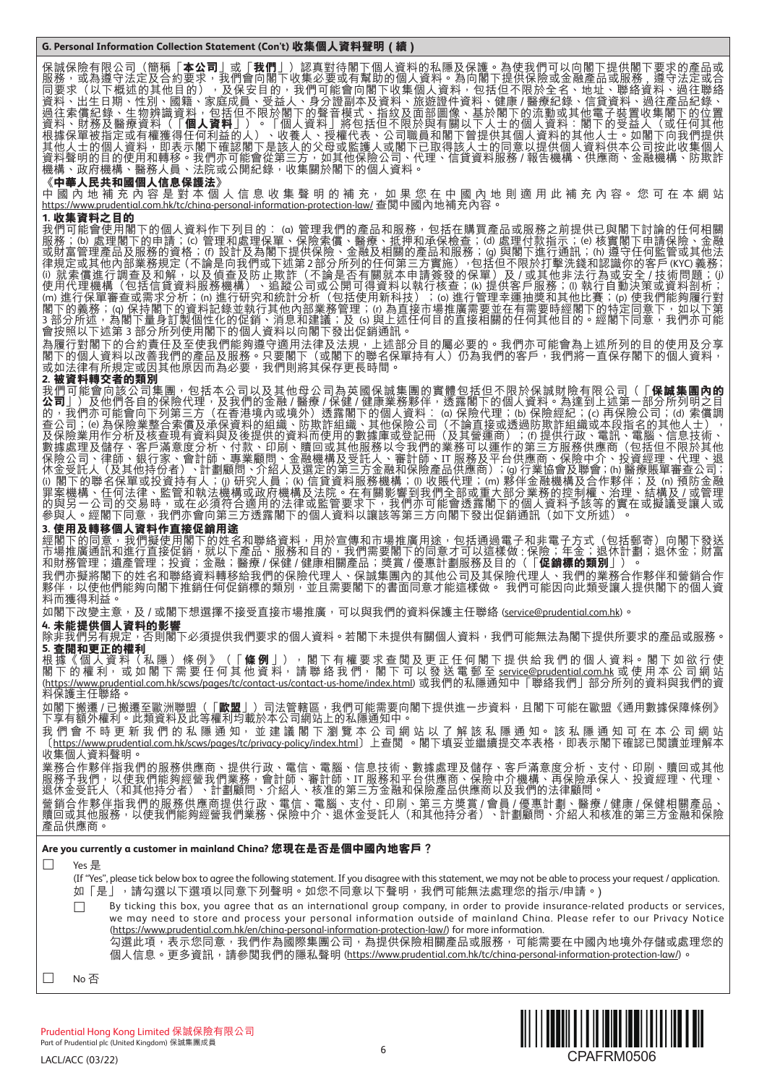保誠保險有限公司(簡稱「**本公司**」或「**我們**」)認真對待閣下個人資料的私隱及保護。為使我們可以向閣下提供閣下要求的產品或 服務,或為遵守法定及合約要求,我們會向閣下收集必要或有幫助的個人資料。為向閣下提供保險或金融產品或服務,遵守法定或合 同要求(以下概述的其他目的),及保安目的,我們可能會向閣下收集個人資料,包括但不限於全名、地址、聯絡資料、過往聯絡 資料、出生日期、性別、國籍、家庭成員、受益人、身分證副本及資料、旅遊證件資料、健康 / 醫療紀錄、信貸資料、過往產品紀錄、 過往索償紀錄、生物辨識資料,包括但不限於閣下的聲音模式、指紋及面部圖像、基於閣下的流動或其他電子裝置收集閣下的位置 資料、財務及醫療資料(「**個人資料**」)。「個人資料」將包括但不限於與有關以下人士的個人資料:閣下的受益人(或任何其他 根據保單被指定或有權獲得任何利益的人)、收養人、授權代表、公司職員和閣下曾提供其個人資料的其他人士。如閣下向我們提供 其他人士的個人資料,即表示閣下確認閣下是該人的父母或監護人或閣下已取得該人士的同意以提供個人資料供本公司按此收集個人 資料聲明的目的使用和轉移。我們亦可能會從第三方,如其他保險公司、代理、信貸資料服務 / 報告機構、供應商、金融機構、防欺詐 機構、政府機構、醫務人員、法院或公開紀錄,收集關於閣下的個人資料。

# **《中華人民共和國個人信息保護法》**

中 國 內 地 補 充 內 容 是 對 本 個 人 信 息 收 集 聲 明 的 補 充, 如 果 您 在 中 國 內 地 則 適 用 此 補 充 內 容。 您 可 在 本 網 站 https://www.prudential.com.hk/tc/china-personal-information-protection-law/ 查閲中國內地補充內容。

# **1. 收集資料之目的**

我們可能會使用閣下的個人資料作下列目的︰ (α) 管理我們的產品和服務,包括在購買產品或服務之前提供已與閣下討論的任何相關 服務;(b) 處理閣下的申請;(c) 管理和處理保單、保險索償、醫療、抵押和承保檢查;(d) 處理付款指示;(e) 核實閣下申請保險、金融 或財富管理產品及服務的資格;⑹ 設計及為閣下提供保險、金融及相關的產品和服務;(g) 與閣下進行通訊;⑹ 遵守任何監管或其他法 律規定或其他內部業務規定 (不論是向我們或下述第2部分所列的任何第三方實施),包括但不限於打擊洗錢和認識你的客戶(KYC)義務; ⑴ 就索償進行調查及和解,以及偵查及防止欺詐(不論是否有關就本申請簽發的保單)及 / 或其他非法行為或安全 / 技術問題;(j) 使用代理機構(包括信貸資料服務機構)、追蹤公司或公開可得資料以執行核查;(k) 提供客戶服務;(l) 執行自動決策或資料剖析; (m) 進行保單審查或需求分析;(n) 進行研究和統計分析(包括使用新科技);(o) 進行管理幸運抽獎和其他比賽;(p) 使我們能夠履行對 閣下的義務;(q) 保持閣下的資料記錄並執行其他內部業務管理;(r) 為直接市場推廣需要並在有需要時經閣下的特定同意下,如以下第 3 部分所述,為閣下量身訂製個性化的促銷、消息和建議;及 ⑸ 與上述任何目的直接相關的任何其他目的。經閣下同意,我們亦可能 會按照以下述第 3 部分所列使用閣下的個人資料以向閣下發出促銷通訊。

為履行對閣下的合約責任及至使我們能夠遵守適用法律及法規,上述部分目的屬必要的。我們亦可能會為上述所列的目的使用及分享 閣下的個人資料以改善我們的產品及服務。只要閣下(或閣下的聯名保單持有人)仍為我們的客戶,我們將一直保存閣下的個人資料, 。<br>或如法律有所規定或因其他原因而為必要,我們則將其保存更長時間。

**2. 被資料轉交者的類別** 我們可能會向該公司集團,包括本公司以及其他母公司為英國保誠集團的實體包括但不限於保誠財險有限公司(「**保誠集團內的 公司**」) 及他們各自的保險代理,及我們的金融 / 醫療 / 保健 / 健康業務夥伴,透露閣下的個人資料。為達到上述第一部分所列明之目 的,我們亦可能會向下列第三方(在香港境內或境外)透露閣下的個人資料︰ (α) 保險代理;(b) 保險經紀;(c) 再保險公司;(d) 索償調 查公司;(e) 為保險業整合索償及承保資料的組織丶防欺詐組織丶其他保險公司(不論直接或透過防欺詐組織或本段指名的其他人士), 及保險業用作分析及核查現有資料與及後提供的資料而使用的數據庫或登記冊(及其營運商);(f) 提供行政、電訊、電腦、信息技術、 數據處理及儲存、客戶滿意度分析、付款、印刷、贖回或其他服務以令我們的業務可以運作的第三方服務供應商(包括但不限於其他 保險公司、律師、銀行家、會計師、專業顧問、金融機構及受託人、審計師、IT 服務及平台供應商、保險中介、投資經理、代理、退 休金受託人(及其他持份者)丶計劃顧問丶介紹人及選定的第三方金融和保險產品供應商);(g) 行業協會及聯會;(h) 醫療賬單審查公司; (i) 閣下的聯名保單或投資持有人;(j) 研究人員;(k) 信貸資料服務機構;(l) 收賬代理;(m) 夥伴金融機構及合作夥伴;及 (n) 預防金融 罪案機構、任何法律、監管和執法機構或政府機構及法院。在有關影響到我們全部或重大部分業務的控制權、治理、結構及 / 或管理 的與另一公司的交易時,或在必須符合適用的法律或監管要求下,我們亦可能會透露閣下的個人資料予該等的實在或擬議受讓人或 參與人。經閣下同意,我們亦會向第三方慈露閣下的個人資料以讓該等第三方向閣下發出促銷通訊(如下文所述)。

# **3. 使用及轉移個人資料作直接促銷用途**

經閣下的同意,我們擬使用閣下的姓名和聯絡資料,用於宣傳和市場推廣用途,包括通過電子和非電子方式(包括郵寄)向閣下發送 市場推廣通訊和進行直接促銷,就以下產品、服務和目的,我們需要閣下的同意才可以這樣做 : 保險;年金;退休計劃;退休金;財富 和財務管理;遺產管理;投資;金融;醫療 / 保健 / 健康相關產品;獎賞 / 優惠計劃服務及目的(「**促銷標的類別**」)。 我們亦擬將閣下的姓名和聯絡資料轉移給我們的保險代理人、保誠集團內的其他公司及其保險代理人、我們的業務合作夥伴和營銷合作 夥伴,以使他們能夠向閣下推銷任何促銷標的類別,並且需要閣下的書面同意才能這樣做。 我們可能因向此類受讓人提供閣下的個人資 料而獲得利益。

如閣下改變主意,及 / 或閣下想選擇不接受直接市場推廣,可以與我們的資料保護主任聯絡 (service@prudential.com.hk)。

# **4. 未能提供個人資料的影響**

除非我們另有規定,否則閣下必須提供我們要求的個人資料。若閣下未提供有關個人資料,我們可能無法為閣下提供所要求的產品或服務。 **5. 查閱和更正的權利**

根 據 《 個 人 資 料 ( 私 隱 ) 條 例 》 <u>(</u> [ **條 例** 」), 閣 下 有 權 要 求 查 閲 及 更 正 任 何 閣 下 提 供 給 我 們 的 個 人 資 料 。 閣 下 如 欲 行 使 閣 下 的 權 利, 或 如 閣 下 需 要 任 何 其 他 資 料, 請 聯 絡 我 們, 閣 下 可 以 發 送 電 郵 至 <u>service@prudential.com.hk</u> 或 使 用 本 公 司 網 站 (<u>https://www.prudential.com.hk/scws/pages/tc/contact-us/contact-us-home/index.html</u>) 或我們的私隱通知中「聯絡我們」部分所列的資料與我們的資 料保護主任聯絡。

如閣下搬遷 / 已搬遷至歐洲聯盟(「**歐盟**」)司法管轄區,我們可能需要向閣下提供進一步資料,且閣下可能在歐盟《通用數據保障條例》 下享有額外權利。此類資料及此等權利均載於本公司網站上的私隱通知中。

我 們 會 不 時 更 新 我 們 的 私 隱 通 知, 並 建 議 閣 下 瀏 覽 本 公 司 網 站 以 了 解 該 私 隱 通 知。 該 私 隱 通 知 可 在 本 公 司 網 站 (<u>https://www.prudential.com.hk/scws/pages/tc/privacy-policy/index.html</u>)上查閲 。閣下填妥並繼續提交本表格,即表示閣下確認已閲讀並理解本 收集個人資料聲明。

業務合作夥伴指我們的服務供應商、提供行政、電信、電腦、信息技術、數據處理及儲存、客戶滿意度分析、支付、印刷、贖回或其他 服務予我們,以使我們能夠經營我們業務,會計師、審計師、IT 服務和平台供應商、保險中介機構、再保險承保人、投資經理、代理、 退休金受託人(和其他持分者)、計劃顧問、介紹人、核准的第三方金融和保險產品供應商以及我們的法律顧問。

營銷合作夥伴指我們的服務供應商提供行政、電信、電腦、支付、印刷、第三方獎賞 / 會員 / 優惠計劃、醫療 / 健康 / 保健相關產品、 贖回或其他服務,以使我們能夠經營我們業務、保險中介、退休金受託人(和其他持分者)、計劃顧問、介紹人和核准的第三方金融和保險 產品供應商。

# **Are you currently a customer in mainland China? 您現在是否是個中國內地客戶?**

Yes 是

(If "Yes", please tick below box to agree the following statement. If you disagree with this statement, we may not be able to process your request / application. 如「是」,請勾選以下選項以同意下列聲明。如您不同意以下聲明,我們可能無法處理您的指示/申請。)

 By ticking this box, you agree that as an international group company, in order to provide insurance-related products or services, we may need to store and process your personal information outside of mainland China. Please refer to our Privacy Notice (https://www.prudential.com.hk/en/china-personal-information-protection-law/) for more information. 勾選此項,表示您同意,我們作為國際集團公司,為提供保險相關產品或服務,可能需要在中國內地境外存儲或處理您的 個人信息。更多資訊,請參閱我們的隱私聲明 (https://www.prudential.com.hk/tc/china-personal-information-protection-law/)。

□ No 否

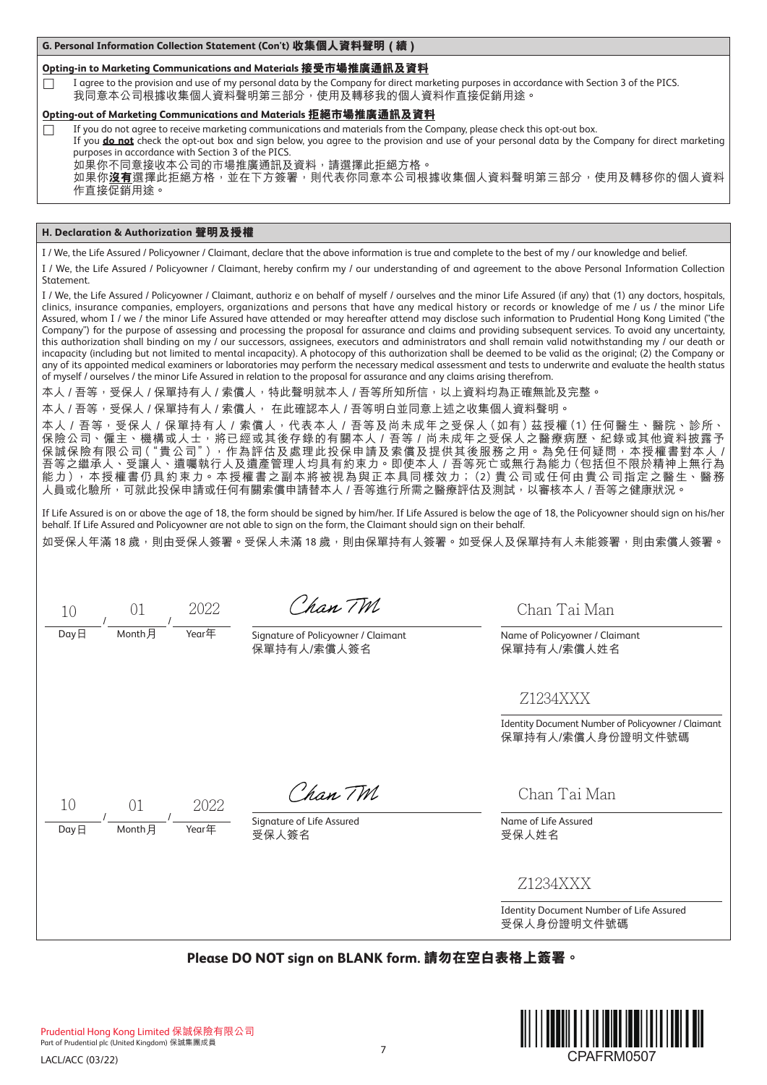**G. Personal Information Collection Statement (Con't) 收集個人資料聲明 ( 續 )**

# **Opting-in to Marketing Communications and Materials 接受市場推廣通訊及資料**

I agree to the provision and use of my personal data by the Company for direct marketing purposes in accordance with Section 3 of the PICS. 我同意本公司根據收集個人資料聲明第三部分,使用及轉移我的個人資料作直接促銷用途。

# **Opting-out of Marketing Communications and Materials 拒絕市場推廣通訊及資料**

 $\Box$  If you do not agree to receive marketing communications and materials from the Company, please check this opt-out box.

If you **do not** check the opt-out box and sign below, you agree to the provision and use of your personal data by the Company for direct marketing purposes in accordance with Section 3 of the PICS.

<sub>.</sub><br>如果你不同意接收本公司的市場推廣通訊及資料,請選擇此拒絕方格。

如果你**沒有**選擇此拒絕方格,並在下方簽署,則代表你同意本公司根據收集個人資料聲明第三部分,使用及轉移你的個人資料 作直接促銷用途。

# **H. Declaration & Authorization 聲明及授權**

I / We, the Life Assured / Policyowner / Claimant, declare that the above information is true and complete to the best of my / our knowledge and belief.

I / We, the Life Assured / Policyowner / Claimant, hereby confirm my / our understanding of and agreement to the above Personal Information Collection **Statement** 

I / We, the Life Assured / Policyowner / Claimant, authoriz e on behalf of myself / ourselves and the minor Life Assured (if any) that (1) any doctors, hospitals, clinics, insurance companies, employers, organizations and persons that have any medical history or records or knowledge of me / us / the minor Life Assured, whom I / we / the minor Life Assured have attended or may hereafter attend may disclose such information to Prudential Hong Kong Limited ("the Company") for the purpose of assessing and processing the proposal for assurance and claims and providing subsequent services. To avoid any uncertainty, this authorization shall binding on my / our successors, assignees, executors and administrators and shall remain valid notwithstanding my / our death or incapacity (including but not limited to mental incapacity). A photocopy of this authorization shall be deemed to be valid as the original; (2) the Company or any of its appointed medical examiners or laboratories may perform the necessary medical assessment and tests to underwrite and evaluate the health status of myself / ourselves / the minor Life Assured in relation to the proposal for assurance and any claims arising therefrom.

本人 / 吾等,受保人 / 保單持有人 / 索償人,特此聲明就本人 / 吾等所知所信,以上資料均為正確無訛及完整。

本人 / 吾等,受保人 / 保單持有人 / 索償人, 在此確認本人 / 吾等明白並同意上述之收集個人資料聲明。

本人/吾等,受保人/保單持有人/索償人,代表本人/吾等及尚未成年之受保人(如有)茲授權(1)任何醫生、醫院、診所、 保險公司、僱主、機構或人士,將已經或其後存錄的有關本人 / 吾等 / 尚未成年之受保人之醫療病歷、紀錄或其他資料披露予 保誠保險有限公司("貴公司"),作為評估及處理此投保申請及索償及提供其後服務之用。為免任何疑問,本授權書對本人 / 吾等之繼承人、受讓人、遺囑執行人及遺產管理人均具有約束力。即使本人 / 吾等死亡或無行為能力(包括但不限於精神上無行為 能力),本授權書仍具約束力。本授權書之副本將被視為與正本具同樣效力;(2)貴公司或任何由貴公司指定之醫生、醫務 人員或化驗所,可就此投保申請或任何有關索償申請替本人 / 吾等進行所需之醫療評估及測試,以審核本人 / 吾等之健康狀況。

If Life Assured is on or above the age of 18, the form should be signed by him/her. If Life Assured is below the age of 18, the Policyowner should sign on his/her behalf. If Life Assured and Policyowner are not able to sign on the form, the Claimant should sign on their behalf.

如受保人年滿 18 歲,則由受保人簽署。受保人未滿 18 歲,則由保單持有人簽署。如受保人及保單持有人未能簽署,則由索償人簽署。

/ / 10 01 2022

Chan TM

Day日 Month月 Year年 Signature of Policyowner / Claimant 保單持有人/索償人簽名

Chan Tai Man

Name of Policyowner / Claimant 保單持有人/索償人姓名

Z1234XXX

Identity Document Number of Policyowner / Claimant 保單持有人/索償人身份證明文件號碼

/ /  $\frac{1}{\text{Day }H}$   $\frac{1}{\text{Month }H}$   $\frac{1}{\text{Year}}$  Signature of Life Assured 10 01 2022

Chan TM

受保人簽名

Chan Tai Man

Name of Life Assured 受保人姓名

Z1234XXX

Identity Document Number of Life Assured 受保人身份證明文件號碼

**Please DO NOT sign on BLANK form. 請勿在空白表格上簽署。**

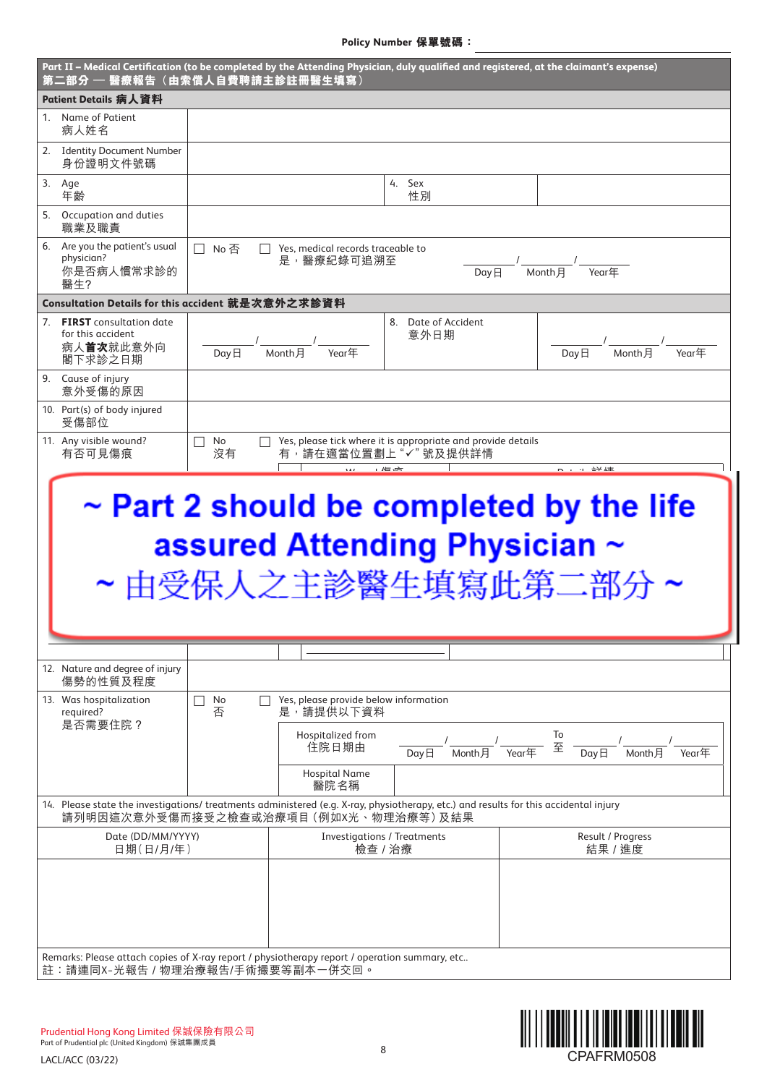**Policy Number 保單號碼:**

|        | 第二部分 — 醫療報告 (由索償人自費聘請主診註冊醫生填寫)                                                                                                                                                 |               |                                                                                            |                                                                                                      | Part II – Medical Certification (to be completed by the Attending Physician, duly qualified and registered, at the claimant's expense)                                                                                                                                                                                                                          |
|--------|--------------------------------------------------------------------------------------------------------------------------------------------------------------------------------|---------------|--------------------------------------------------------------------------------------------|------------------------------------------------------------------------------------------------------|-----------------------------------------------------------------------------------------------------------------------------------------------------------------------------------------------------------------------------------------------------------------------------------------------------------------------------------------------------------------|
|        | Patient Details 病人資料                                                                                                                                                           |               |                                                                                            |                                                                                                      |                                                                                                                                                                                                                                                                                                                                                                 |
|        | 1. Name of Patient<br>病人姓名                                                                                                                                                     |               |                                                                                            |                                                                                                      |                                                                                                                                                                                                                                                                                                                                                                 |
|        | 2. Identity Document Number<br>身份證明文件號碼                                                                                                                                        |               |                                                                                            |                                                                                                      |                                                                                                                                                                                                                                                                                                                                                                 |
| 3. Age | 年齡                                                                                                                                                                             |               |                                                                                            | 4. Sex<br>性別                                                                                         |                                                                                                                                                                                                                                                                                                                                                                 |
|        | 5. Occupation and duties<br>職業及職責                                                                                                                                              |               |                                                                                            |                                                                                                      |                                                                                                                                                                                                                                                                                                                                                                 |
|        | 6. Are you the patient's usual<br>physician?<br>你是否病人慣常求診的<br>醫生?                                                                                                              | □ No否         | $\Box$ Yes, medical records traceable to<br>是,醫療紀錄可追溯至                                     | DayE                                                                                                 | $-{}'$ $\frac{1}{\sqrt{2\pi}}$ $\frac{1}{\sqrt{2\pi}}$ $\frac{1}{\sqrt{2\pi}}$ $\frac{1}{\sqrt{2\pi}}$ $\frac{1}{\sqrt{2\pi}}$ $\frac{1}{\sqrt{2\pi}}$ $\frac{1}{\sqrt{2\pi}}$ $\frac{1}{\sqrt{2\pi}}$ $\frac{1}{\sqrt{2\pi}}$ $\frac{1}{\sqrt{2\pi}}$ $\frac{1}{\sqrt{2\pi}}$ $\frac{1}{\sqrt{2\pi}}$ $\frac{1}{\sqrt{2\pi}}$ $\frac{1}{\sqrt{2\pi}}$ $\frac{$ |
|        | Consultation Details for this accident 就是次意外之求診資料                                                                                                                              |               |                                                                                            |                                                                                                      |                                                                                                                                                                                                                                                                                                                                                                 |
|        | 7. <b>FIRST</b> consultation date<br>for this accident<br>病人首次就此意外向<br>閣下求診之日期                                                                                                 |               | $\frac{1}{\log \frac{1}{2}}$ / $\frac{1}{\log \frac{1}{2}}$ / $\frac{1}{\log \frac{1}{2}}$ | 8. Date of Accident<br>意外日期                                                                          | $\frac{1}{\text{Month}}$<br>$Day\overline{H}$<br>Year年                                                                                                                                                                                                                                                                                                          |
|        | 9. Cause of injury<br>意外受傷的原因                                                                                                                                                  |               |                                                                                            |                                                                                                      |                                                                                                                                                                                                                                                                                                                                                                 |
|        | 10. Part(s) of body injured<br>受傷部位                                                                                                                                            |               |                                                                                            |                                                                                                      |                                                                                                                                                                                                                                                                                                                                                                 |
|        | 11. Any visible wound?<br>有否可見傷痕                                                                                                                                               | П<br>No<br>沒有 | $\overline{1}$                                                                             | Yes, please tick where it is appropriate and provide details<br>有,請在適當位置劃上"√"號及提供詳情<br>$\frac{1}{2}$ | $\sim$ $\cdot$ $\cdot$ $\pm\sqrt{1}$                                                                                                                                                                                                                                                                                                                            |
|        |                                                                                                                                                                                |               |                                                                                            |                                                                                                      | assured Attending Physician $\sim$<br>~ 由受保人之主診醫生填寫此第二部分 ~                                                                                                                                                                                                                                                                                                      |
|        |                                                                                                                                                                                |               |                                                                                            |                                                                                                      |                                                                                                                                                                                                                                                                                                                                                                 |
|        |                                                                                                                                                                                |               |                                                                                            |                                                                                                      |                                                                                                                                                                                                                                                                                                                                                                 |
|        | 12. Nature and degree of injury<br>傷勢的性質及程度                                                                                                                                    |               |                                                                                            |                                                                                                      |                                                                                                                                                                                                                                                                                                                                                                 |
|        |                                                                                                                                                                                |               |                                                                                            |                                                                                                      |                                                                                                                                                                                                                                                                                                                                                                 |
|        | 13. Was hospitalization<br>required?                                                                                                                                           | No<br>否       | Yes, please provide below information<br>是,請提供以下資料                                         |                                                                                                      |                                                                                                                                                                                                                                                                                                                                                                 |
|        | 是否需要住院?                                                                                                                                                                        |               | Hospitalized from<br>住院日期由                                                                 | $Day \boxminus$<br>Month 月                                                                           | To<br>至<br>$Day \Box$<br>Month 月<br>Year年<br>Year年                                                                                                                                                                                                                                                                                                              |
|        |                                                                                                                                                                                |               | <b>Hospital Name</b><br>醫院名稱                                                               |                                                                                                      |                                                                                                                                                                                                                                                                                                                                                                 |
|        | 14. Please state the investigations/treatments administered (e.g. X-ray, physiotherapy, etc.) and results for this accidental injury<br>請列明因這次意外受傷而接受之檢查或治療項目 (例如X光、物理治療等) 及結果 |               |                                                                                            |                                                                                                      |                                                                                                                                                                                                                                                                                                                                                                 |
|        | Date (DD/MM/YYYY)<br>日期(日/月/年)                                                                                                                                                 |               | <b>Investigations / Treatments</b>                                                         | 檢查 / 治療                                                                                              | Result / Progress<br>結果 / 進度                                                                                                                                                                                                                                                                                                                                    |
|        |                                                                                                                                                                                |               |                                                                                            |                                                                                                      |                                                                                                                                                                                                                                                                                                                                                                 |
|        | Remarks: Please attach copies of X-ray report / physiotherapy report / operation summary, etc<br>註:請連同X-光報告 / 物理治療報告/手術撮要等副本一併交回。                                              |               |                                                                                            |                                                                                                      |                                                                                                                                                                                                                                                                                                                                                                 |

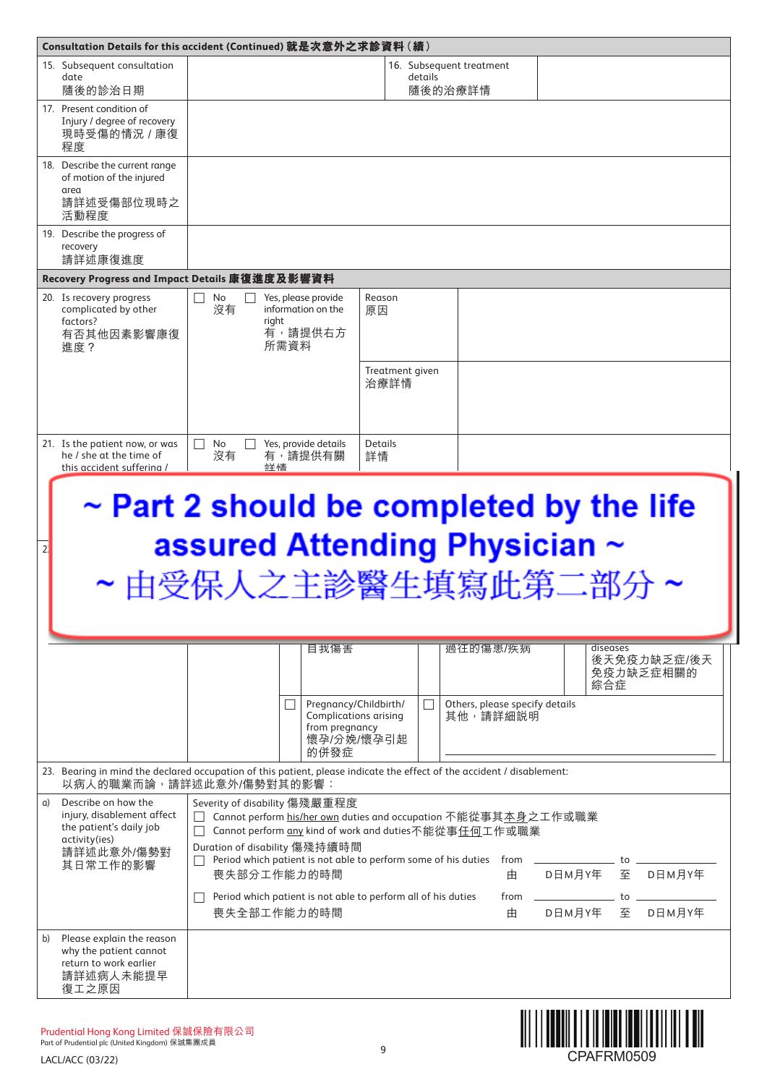|                                                                                         | Consultation Details for this accident (Continued) 就是次意外之求診資料 ( 續 )                          |                                                                                                                        |                                       |
|-----------------------------------------------------------------------------------------|----------------------------------------------------------------------------------------------|------------------------------------------------------------------------------------------------------------------------|---------------------------------------|
| 15. Subsequent consultation                                                             |                                                                                              | 16. Subsequent treatment                                                                                               |                                       |
| date<br>隨後的診治日期                                                                         |                                                                                              | details<br>隨後的治療詳情                                                                                                     |                                       |
| 17. Present condition of<br>Injury / degree of recovery<br>現時受傷的情況 / 康復<br>程度           |                                                                                              |                                                                                                                        |                                       |
| 18. Describe the current range<br>of motion of the injured<br>area                      |                                                                                              |                                                                                                                        |                                       |
| 請詳述受傷部位現時之<br>活動程度                                                                      |                                                                                              |                                                                                                                        |                                       |
| 19. Describe the progress of<br>recovery<br>請詳述康復進度                                     |                                                                                              |                                                                                                                        |                                       |
|                                                                                         | Recovery Progress and Impact Details 康復進度及影響資料                                               |                                                                                                                        |                                       |
| 20. Is recovery progress<br>complicated by other<br>factors?<br>有否其他因素影響康復<br>谁度?       | No<br>Yes, please provide<br>$\perp$<br>沒有<br>information on the<br>right<br>有,請提供右方<br>所需資料 | Reason<br>原因                                                                                                           |                                       |
|                                                                                         |                                                                                              | Treatment given<br>治療詳情                                                                                                |                                       |
| 21. Is the patient now, or was<br>he / she at the time of<br>this accident suffering /  | Yes, provide details<br>No<br>沒有<br>有,請提供有關<br>詳情                                            | <b>Details</b><br>詳情                                                                                                   |                                       |
|                                                                                         |                                                                                              |                                                                                                                        |                                       |
|                                                                                         |                                                                                              | $\sim$ Part 2 should be completed by the life                                                                          |                                       |
| 2                                                                                       |                                                                                              | assured Attending Physician ~                                                                                          |                                       |
|                                                                                         |                                                                                              |                                                                                                                        |                                       |
|                                                                                         |                                                                                              | ~由受保人之主診醫生填寫此第二部分                                                                                                      |                                       |
|                                                                                         |                                                                                              |                                                                                                                        |                                       |
|                                                                                         | 自我傷害                                                                                         | 過往的傷患/疾病                                                                                                               | diseases                              |
|                                                                                         |                                                                                              |                                                                                                                        | 後天免疫力缺乏症/後天<br>免疫力缺乏症相關的<br>綜合症       |
|                                                                                         | $\Box$<br>from pregnancy                                                                     | Pregnancy/Childbirth/<br>$\Box$<br>Others, please specify details<br>其他,請詳細説明<br>Complications arising                 |                                       |
|                                                                                         | 的併發症                                                                                         | 懷孕/分娩/懷孕引起                                                                                                             |                                       |
|                                                                                         | 以病人的職業而論,請詳述此意外/傷勢對其的影響:                                                                     | 23. Bearing in mind the declared occupation of this patient, please indicate the effect of the accident / disablement: |                                       |
| Describe on how the<br>a)                                                               |                                                                                              |                                                                                                                        |                                       |
| injury, disablement affect                                                              | Severity of disability 傷殘嚴重程度                                                                |                                                                                                                        |                                       |
| the patient's daily job                                                                 |                                                                                              | Cannot perform his/her own duties and occupation 不能從事其本身之工作或職業                                                         |                                       |
| activity(ies)                                                                           | Duration of disability 傷殘持續時間                                                                | Cannot perform any kind of work and duties不能從事任何工作或職業                                                                  |                                       |
| 請詳述此意外/傷勢對<br>其日常工作的影響                                                                  | 喪失部分工作能力的時間                                                                                  | Period which patient is not able to perform some of his duties from _________________ to ___<br>由                      |                                       |
|                                                                                         |                                                                                              | D日M月Y年                                                                                                                 | 至 D日M月Y年                              |
|                                                                                         | Period which patient is not able to perform all of his duties<br>喪失全部工作能力的時間                 | $from \_$<br>由                                                                                                         | to $\qquad \qquad$<br>D日M月Y年 至 D日M月Y年 |
| Please explain the reason<br>b)<br>why the patient cannot<br>return to work earlier     |                                                                                              |                                                                                                                        |                                       |
| 請詳述病人未能提早<br>復工之原因                                                                      |                                                                                              |                                                                                                                        |                                       |
|                                                                                         |                                                                                              |                                                                                                                        |                                       |
| Prudential Hong Kong Limited 保誠保險有限公司<br>Part of Prudential plc (United Kingdom) 保誠集團成員 |                                                                                              | 9                                                                                                                      |                                       |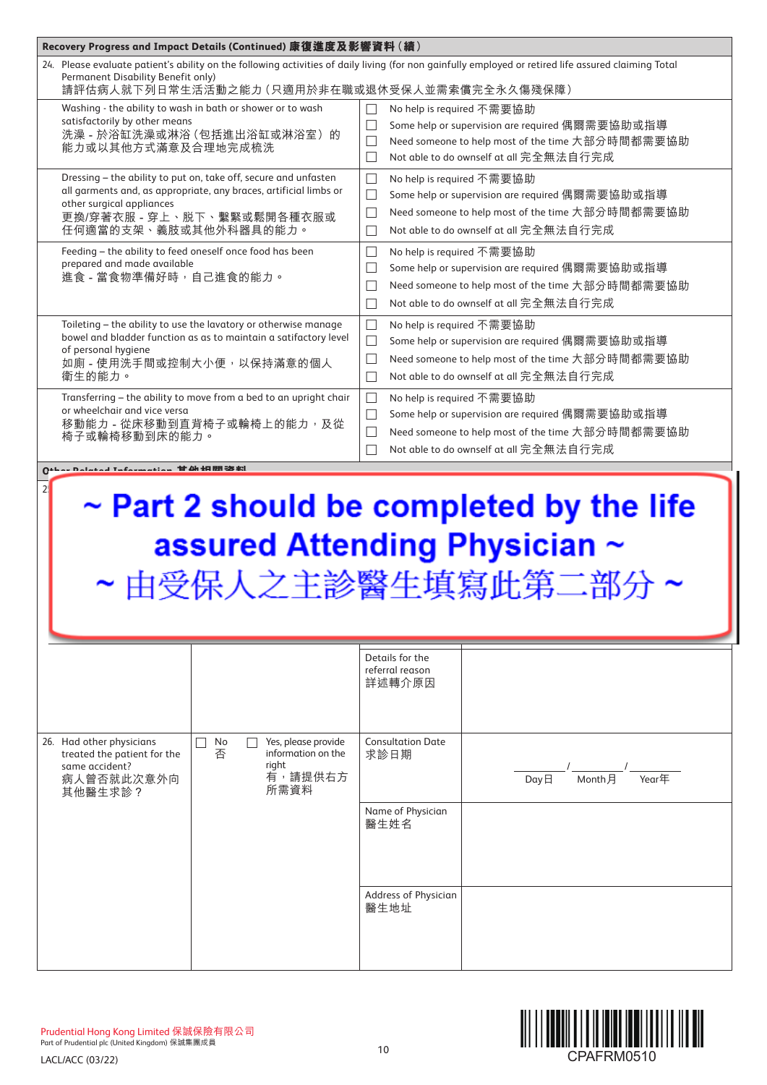| Recovery Progress and Impact Details (Continued) 康復進度及影響資料 (續)                                                                                                                                                           |                                                                                                                                                                                                                                                        |
|--------------------------------------------------------------------------------------------------------------------------------------------------------------------------------------------------------------------------|--------------------------------------------------------------------------------------------------------------------------------------------------------------------------------------------------------------------------------------------------------|
| Permanent Disability Benefit only)<br>請評估病人就下列日常生活活動之能力 (只適用於非在職或退休受保人並需索償完全永久傷殘保障)                                                                                                                                      | 24. Please evaluate patient's ability on the following activities of daily living (for non gainfully employed or retired life assured claiming Total                                                                                                   |
| Washing - the ability to wash in bath or shower or to wash<br>satisfactorily by other means<br>洗澡 - 於浴缸洗澡或淋浴 (包括進出浴缸或淋浴室) 的<br>能力或以其他方式滿意及合理地完成梳洗                                                                        | No help is required 不需要協助<br>Some help or supervision are required 偶爾需要協助或指導<br>П<br>Need someone to help most of the time 大部分時間都需要協助<br>П<br>Not able to do ownself at all 完全無法自行完成<br>П                                                              |
| Dressing - the ability to put on, take off, secure and unfasten<br>all garments and, as appropriate, any braces, artificial limbs or<br>other surgical appliances<br>更換/穿著衣服 - 穿上、脱下、繫緊或鬆開各種衣服或<br>任何適當的支架、義肢或其他外科器具的能力。 | No help is required 不需要協助<br>$\Box$<br>Some help or supervision are required 偶爾需要協助或指導<br>$\Box$<br>Need someone to help most of the time 大部分時間都需要協助<br>$\Box$<br>Not able to do ownself at all 完全無法自行完成<br>$\Box$                                     |
| Feeding - the ability to feed oneself once food has been<br>prepared and made available<br>進食 - 當食物準備好時, 自己進食的能力。                                                                                                        | No help is required 不需要協助<br>$\Box$<br>Some help or supervision are required 偶爾需要協助或指導<br>$\overline{\phantom{a}}$<br>Need someone to help most of the time 大部分時間都需要協助<br>$\overline{\phantom{a}}$<br>Not able to do ownself at all 完全無法自行完成<br>$\Box$ |
| Toileting - the ability to use the lavatory or otherwise manage<br>bowel and bladder function as as to maintain a satifactory level<br>of personal hygiene<br>如廁 - 使用洗手間或控制大小便, 以保持滿意的個人<br>衛生的能力。                       | No help is required 不需要協助<br>$\mathcal{L}$<br>Some help or supervision are required 偶爾需要協助或指導<br>$\Box$<br>Need someone to help most of the time 大部分時間都需要協助<br>$\Box$<br>Not able to do ownself at all 完全無法自行完成<br>$\Box$                              |
| Transferring - the ability to move from a bed to an upright chair<br>or wheelchair and vice versa<br>移動能力 - 從床移動到直背椅子或輪椅上的能力, 及從<br>椅子或輪椅移動到床的能力。                                                                        | No help is required 不需要協助<br>П<br>Some help or supervision are required 偶爾需要協助或指導<br>$\Box$<br>Need someone to help most of the time 大部分時間都需要協助<br>Not able to do ownself at all 完全無法自行完成                                                              |
| $0+1$                                                                                                                                                                                                                    |                                                                                                                                                                                                                                                        |
| 2                                                                                                                                                                                                                        | $\sim$ Part 2 should be completed by the life<br>assured Attending Physician ~<br>~由受保人之主診醫生填寫此第二部                                                                                                                                                     |
|                                                                                                                                                                                                                          | Details for the<br>referral reason<br>詳述轉介原因                                                                                                                                                                                                           |
| 26. Had other physicians<br>Yes, please provide<br>No<br>否<br>information on the<br>treated the patient for the<br>same accident?<br>right<br>有,請提供右方<br>病人曾否就此次意外向<br>所需資料<br>其他醫生求診?                                   | <b>Consultation Date</b><br>求診日期<br>Year $\overline{\text{E}}$<br>Month月<br>DayE                                                                                                                                                                       |
|                                                                                                                                                                                                                          | Name of Physician<br>醫生姓名                                                                                                                                                                                                                              |
|                                                                                                                                                                                                                          | Address of Physician<br>醫生地址                                                                                                                                                                                                                           |

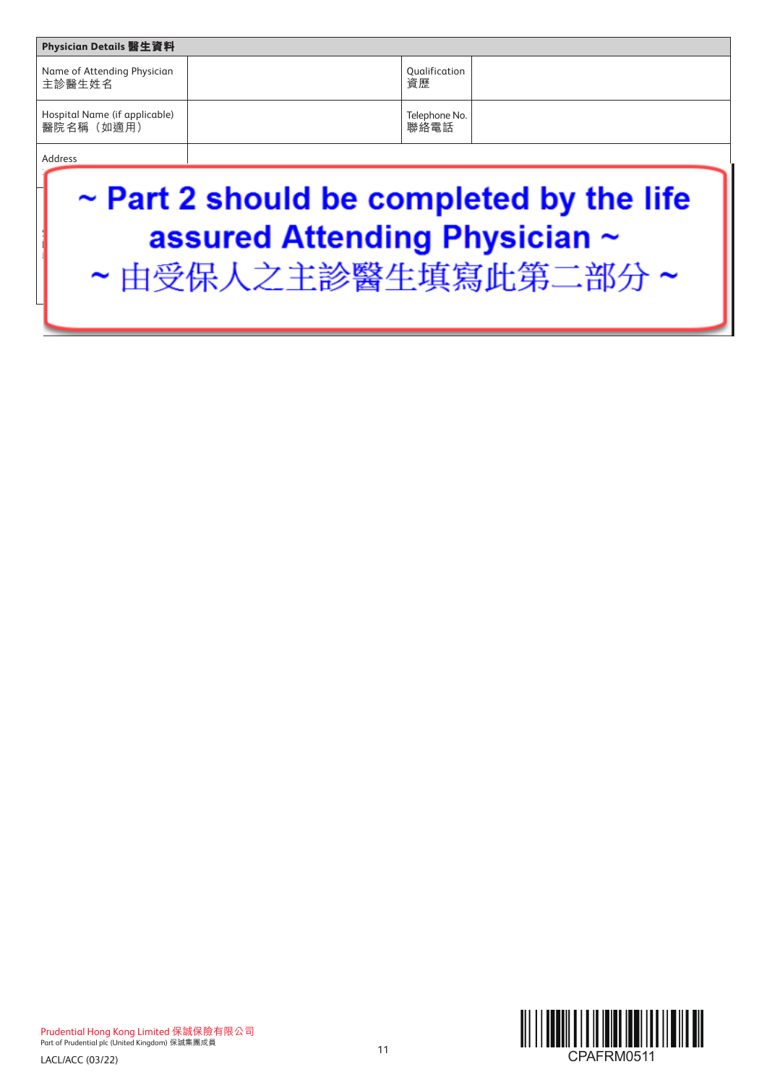| Physician Details 醫生資料                      |                       |  |
|---------------------------------------------|-----------------------|--|
| Name of Attending Physician<br>主診醫生姓名       | Qualification<br>資歷   |  |
| Hospital Name (if applicable)<br>醫院名稱 (如適用) | Telephone No.<br>聯絡電話 |  |
| Address                                     |                       |  |

# ~ Part 2 should be completed by the life Signature & Hospital / ig Pnysician  $\approx$ Physician's Chop 醫院 / 醫生簽署及蓋印 Day日 Month月 Year年





 $\sqrt{2}$